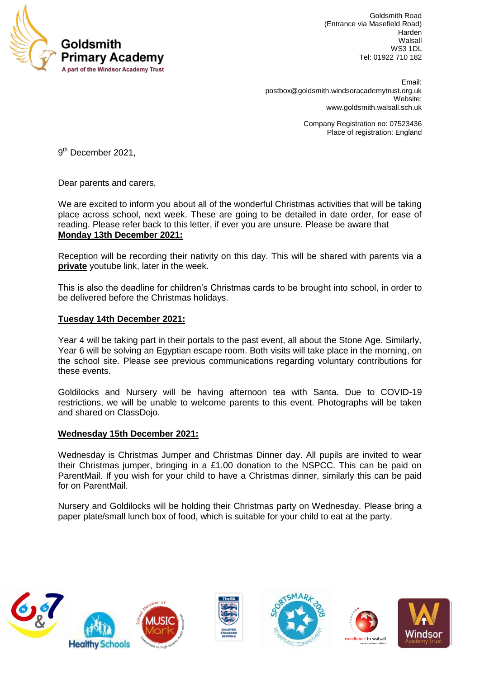

Goldsmith Road (Entrance via Masefield Road) Harden Walsall WS3 1DL Tel: 01922 710 182

 Email: [postbox@goldsmith.windsoracademytrust.org.uk](mailto:postbox@goldsmith.windsoracademytrust.org.uk) Website: [www.goldsmith.walsall.sch.uk](http://www.goldsmith.walsall.sch.uk/)

> Company Registration no: 07523436 Place of registration: England

9<sup>th</sup> December 2021,

Dear parents and carers,

We are excited to inform you about all of the wonderful Christmas activities that will be taking place across school, next week. These are going to be detailed in date order, for ease of reading. Please refer back to this letter, if ever you are unsure. Please be aware that **Monday 13th December 2021:**

Reception will be recording their nativity on this day. This will be shared with parents via a **private** youtube link, later in the week.

This is also the deadline for children's Christmas cards to be brought into school, in order to be delivered before the Christmas holidays.

## **Tuesday 14th December 2021:**

Year 4 will be taking part in their portals to the past event, all about the Stone Age. Similarly, Year 6 will be solving an Egyptian escape room. Both visits will take place in the morning, on the school site. Please see previous communications regarding voluntary contributions for these events.

Goldilocks and Nursery will be having afternoon tea with Santa. Due to COVID-19 restrictions, we will be unable to welcome parents to this event. Photographs will be taken and shared on ClassDojo.

## **Wednesday 15th December 2021:**

Wednesday is Christmas Jumper and Christmas Dinner day. All pupils are invited to wear their Christmas jumper, bringing in a £1.00 donation to the NSPCC. This can be paid on ParentMail. If you wish for your child to have a Christmas dinner, similarly this can be paid for on ParentMail.

Nursery and Goldilocks will be holding their Christmas party on Wednesday. Please bring a paper plate/small lunch box of food, which is suitable for your child to eat at the party.